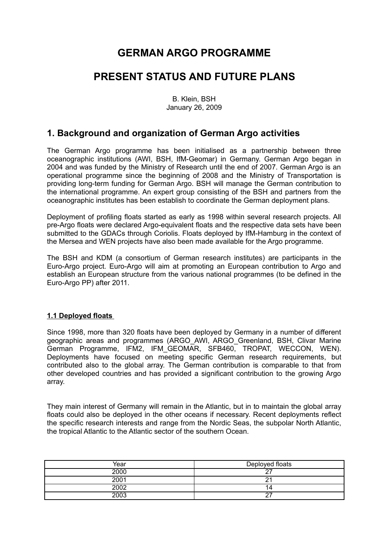# **GERMAN ARGO PROGRAMME**

## **PRESENT STATUS AND FUTURE PLANS**

B. Klein, BSH January 26, 2009

## **1. Background and organization of German Argo activities**

The German Argo programme has been initialised as a partnership between three oceanographic institutions (AWI, BSH, IfM-Geomar) in Germany. German Argo began in 2004 and was funded by the Ministry of Research until the end of 2007. German Argo is an operational programme since the beginning of 2008 and the Ministry of Transportation is providing long-term funding for German Argo. BSH will manage the German contribution to the international programme. An expert group consisting of the BSH and partners from the oceanographic institutes has been establish to coordinate the German deployment plans.

Deployment of profiling floats started as early as 1998 within several research projects. All pre-Argo floats were declared Argo-equivalent floats and the respective data sets have been submitted to the GDACs through Coriolis. Floats deployed by IfM-Hamburg in the context of the Mersea and WEN projects have also been made available for the Argo programme.

The BSH and KDM (a consortium of German research institutes) are participants in the Euro-Argo project. Euro-Argo will aim at promoting an European contribution to Argo and establish an European structure from the various national programmes (to be defined in the Euro-Argo PP) after 2011.

### **1.1 Deployed floats**

Since 1998, more than 320 floats have been deployed by Germany in a number of different geographic areas and programmes (ARGO\_AWI, ARGO\_Greenland, BSH, Clivar Marine German Programme, IFM2, IFM\_GEOMAR, SFB460, TROPAT, WECCON, WEN). Deployments have focused on meeting specific German research requirements, but contributed also to the global array. The German contribution is comparable to that from other developed countries and has provided a significant contribution to the growing Argo array.

They main interest of Germany will remain in the Atlantic, but in to maintain the global array floats could also be deployed in the other oceans if necessary. Recent deployments reflect the specific research interests and range from the Nordic Seas, the subpolar North Atlantic, the tropical Atlantic to the Atlantic sector of the southern Ocean.

| Year | Deployed floats |
|------|-----------------|
| 2000 |                 |
| 2001 |                 |
| 2002 | $\overline{a}$  |
| 2003 | -               |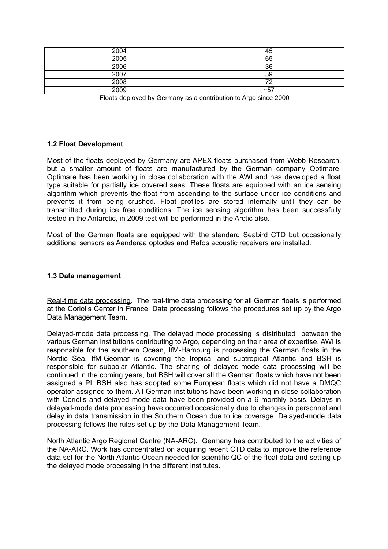| 2004 | 45          |
|------|-------------|
| 2005 | 65          |
| 2006 | 36          |
| 2007 | 39          |
| 2008 |             |
| 2009 | $\sim$ $5-$ |

Floats deployed by Germany as a contribution to Argo since 2000

#### **1.2 Float Development**

Most of the floats deployed by Germany are APEX floats purchased from Webb Research, but a smaller amount of floats are manufactured by the German company Optimare. Optimare has been working in close collaboration with the AWI and has developed a float type suitable for partially ice covered seas. These floats are equipped with an ice sensing algorithm which prevents the float from ascending to the surface under ice conditions and prevents it from being crushed. Float profiles are stored internally until they can be transmitted during ice free conditions. The ice sensing algorithm has been successfully tested in the Antarctic, in 2009 test will be performed in the Arctic also.

Most of the German floats are equipped with the standard Seabird CTD but occasionally additional sensors as Aanderaa optodes and Rafos acoustic receivers are installed.

### **1.3 Data management**

Real-time data processing. The real-time data processing for all German floats is performed at the Coriolis Center in France. Data processing follows the procedures set up by the Argo Data Management Team.

Delayed-mode data processing. The delayed mode processing is distributed between the various German institutions contributing to Argo, depending on their area of expertise. AWI is responsible for the southern Ocean, IfM-Hamburg is processing the German floats in the Nordic Sea, IfM-Geomar is covering the tropical and subtropical Atlantic and BSH is responsible for subpolar Atlantic. The sharing of delayed-mode data processing will be continued in the coming years, but BSH will cover all the German floats which have not been assigned a PI. BSH also has adopted some European floats which did not have a DMQC operator assigned to them. All German institutions have been working in close collaboration with Coriolis and delayed mode data have been provided on a 6 monthly basis. Delays in delayed-mode data processing have occurred occasionally due to changes in personnel and delay in data transmission in the Southern Ocean due to ice coverage. Delayed-mode data processing follows the rules set up by the Data Management Team.

North Atlantic Argo Regional Centre (NA-ARC). Germany has contributed to the activities of the NA-ARC. Work has concentrated on acquiring recent CTD data to improve the reference data set for the North Atlantic Ocean needed for scientific QC of the float data and setting up the delayed mode processing in the different institutes.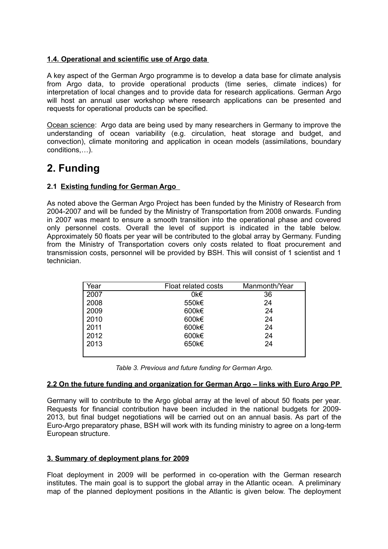## **1.4. Operational and scientific use of Argo data**

A key aspect of the German Argo programme is to develop a data base for climate analysis from Argo data, to provide operational products (time series, climate indices) for interpretation of local changes and to provide data for research applications. German Argo will host an annual user workshop where research applications can be presented and requests for operational products can be specified.

Ocean science: Argo data are being used by many researchers in Germany to improve the understanding of ocean variability (e.g. circulation, heat storage and budget, and convection), climate monitoring and application in ocean models (assimilations, boundary conditions,…).

# **2. Funding**

## **2.1 Existing funding for German Argo**

As noted above the German Argo Project has been funded by the Ministry of Research from 2004-2007 and will be funded by the Ministry of Transportation from 2008 onwards. Funding in 2007 was meant to ensure a smooth transition into the operational phase and covered only personnel costs. Overall the level of support is indicated in the table below. Approximately 50 floats per year will be contributed to the global array by Germany. Funding from the Ministry of Transportation covers only costs related to float procurement and transmission costs, personnel will be provided by BSH. This will consist of 1 scientist and 1 technician.

| Year | Float related costs | Manmonth/Year |
|------|---------------------|---------------|
| 2007 | 0k€                 | 36            |
| 2008 | 550k€               | 24            |
| 2009 | 600k€               | 24            |
| 2010 | 600k€               | 24            |
| 2011 | 600k€               | 24            |
| 2012 | 600k€               | 24            |
| 2013 | 650k€               | 24            |
|      |                     |               |

| Table 3. Previous and future funding for German Argo. |  |
|-------------------------------------------------------|--|
|-------------------------------------------------------|--|

#### **2.2 On the future funding and organization for German Argo – links with Euro Argo PP**

Germany will to contribute to the Argo global array at the level of about 50 floats per year. Requests for financial contribution have been included in the national budgets for 2009- 2013, but final budget negotiations will be carried out on an annual basis. As part of the Euro-Argo preparatory phase, BSH will work with its funding ministry to agree on a long-term European structure.

### **3. Summary of deployment plans for 2009**

Float deployment in 2009 will be performed in co-operation with the German research institutes. The main goal is to support the global array in the Atlantic ocean. A preliminary map of the planned deployment positions in the Atlantic is given below. The deployment